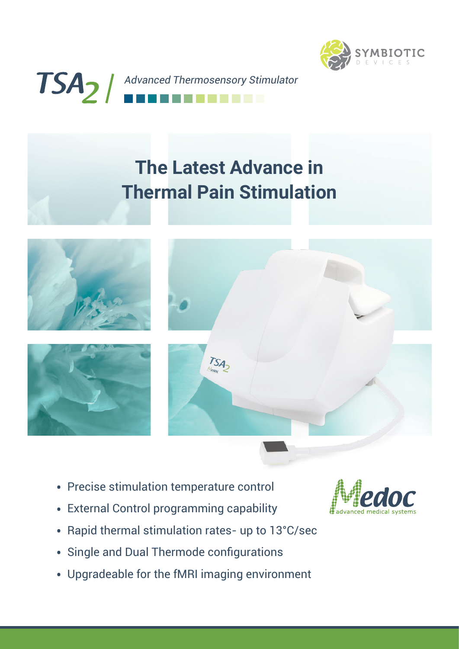



## **The Latest Advance in Thermal Pain Stimulation**







- Precise stimulation temperature control
- External Control programming capability
- Rapid thermal stimulation rates- up to 13°C/sec
- Single and Dual Thermode configurations
- Upgradeable for the fMRI imaging environment

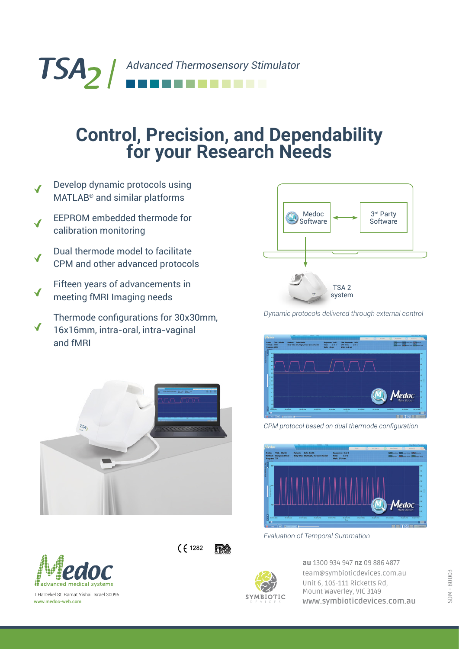TSA<sub>2</sub> / Advanced Thermosensory Stimulator

## **Control, Precision, and Dependability for your Research Needs**

- Develop dynamic protocols using MATLAB® and similar platforms
- EEPROM embedded thermode for calibration monitoring
- Dual thermode model to facilitate CPM and other advanced protocols
- Fifteen years of advancements in meeting fMRI Imaging needs
- Thermode configurations for 30x30mm, 16x16mm, intra-oral, intra-vaginal and fMRI



 $(61282)$ 

**FDA** 



1 Ha'Dekel St. Ramat Yishai, Israel 30095 www.medoc-web.com



*Dynamic protocols delivered through external control*



CPM protocol based on dual thermode configuration



*Evaluation of Temporal Summation*



au 1300 934 947 nz 09 886 4877 team@symbioticdevices.com.au Unit 6, 105-111 Ricketts Rd, Mount Waverley, VIC 3149 **[www.symbioticdevices.com.au](https://symbioticdevices.com.au/)**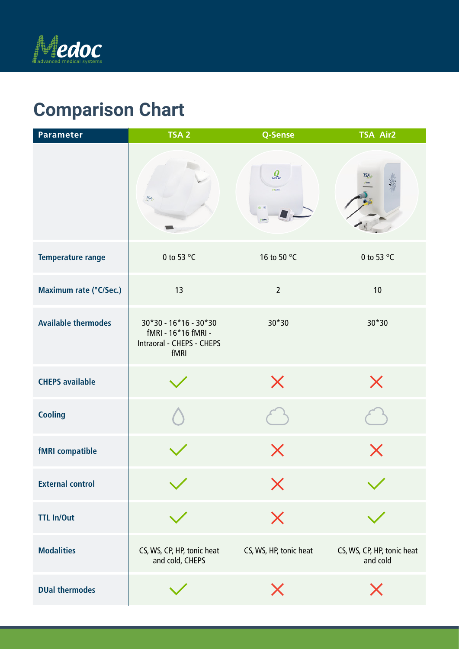

## Specifications **Comparison Chart**

| Parameter                  | TSA <sub>2</sub>                                                                    | Q-Sense                       | <b>TSA Air2</b>                        |
|----------------------------|-------------------------------------------------------------------------------------|-------------------------------|----------------------------------------|
|                            | TSA <sub>2</sub>                                                                    | $Q$ <sub>Sense</sub><br>Media | TSA,                                   |
| <b>Temperature range</b>   | 0 to 53 °C                                                                          | 16 to 50 °C                   | 0 to 53 °C                             |
| Maximum rate (°C/Sec.)     | 13                                                                                  | $\overline{2}$                | 10                                     |
| <b>Available thermodes</b> | $30*30 - 16*16 - 30*30$<br>fMRI - 16*16 fMRI -<br>Intraoral - CHEPS - CHEPS<br>fMRI | 30*30                         | 30*30                                  |
| <b>CHEPS available</b>     |                                                                                     | $\times$                      | $\times$                               |
| <b>Cooling</b>             |                                                                                     |                               |                                        |
| <b>fMRI</b> compatible     |                                                                                     | X                             | $\bm{\mathsf{X}}$                      |
| <b>External control</b>    |                                                                                     | X                             |                                        |
| <b>TTL In/Out</b>          |                                                                                     | $\bm{\times}$                 |                                        |
| <b>Modalities</b>          | CS, WS, CP, HP, tonic heat<br>and cold, CHEPS                                       | CS, WS, HP, tonic heat        | CS, WS, CP, HP, tonic heat<br>and cold |
| <b>DUal thermodes</b>      |                                                                                     | $\bm{\mathsf{X}}$             | X                                      |